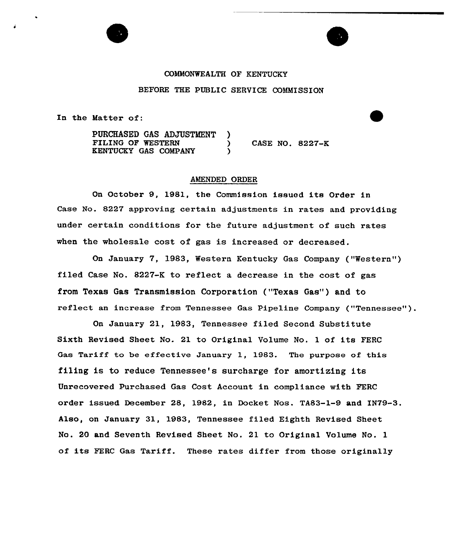### COMMONWEALTH OF KENTUCKY

## BEFORE THE PUBLIC SERVICE COMMISSION

In the Matter of:

PURCHASED GAS ADJUSTMENT )<br>FILING OF WESTERN ) ) CASE NO. 8227-K KENTUCKY GAS COMPANY

### AMENDED ORDER

On October 9, 1981, the Commission iaauod ita Order in Case No. 8227 approving certain adjustments in rates and providing under certain conditions for the future adjustment of such rates when the wholesale cost of gas is increased or decreased.

On January 7, 1983, Western Kentucky Gas Company ("Western" ) filed Case No. 8227-K to reflect a decrease in the cost of gas from Texas Gas Transmission Corporation ("Texas Gas") and to reflect an increase from Tennessee Gas Pipeline Company ("Tennessee" ).

On Januaxy 21, 1983, Tennessee filed Second Substitute Sixth Revised Sheet No. 21 to Original Volume No. <sup>1</sup> of its FERC Gas Tariff to be effective January 1, 1983. The purpose of this filing is to reduce Tennessee's surcharge for amortizing its Unrecovered Purchased Gas Cost Account in compliance with PERC order issued December 28, 1982, in Docket Nos. TA83-1-9 and IN79-3. Also, on January 31, 1983, Tennessee filed Eighth Revised Sheet No. 20 and Seventh Revised Sheet No. 21 to Original Volume No. 1 of its FERC Gas Tariff. These rates differ from those originally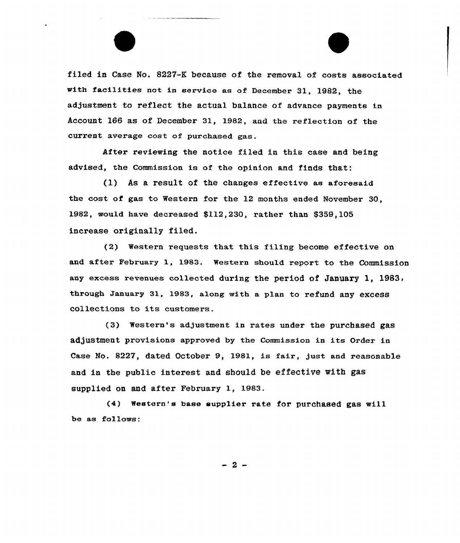filed in Case No. 8227-K because of the removal of costs associated with facilitiee not in service ae of Decembex 31, 1982, the adjustment to reflect the actual balance of advance payments in Account 166 as of December 31, 1982, and the reflection of the current average cost of purchased gas.

After reviewing the notice filed in this case and being advised, the Commission is of the opinion and finds that:

(1) As a result of the changes effective ae aforesaid the cost of gas to Western for the 12 months ended November 30, 1982, would have decreased \$112,230, rather than \$359,105 increase originally filed.

(2) Western requests that this filing become effective on and after February 1, 1983. Western should report to the Commission any excess revenues collected during the period of January 1, 1983, through January 31, 1983, along with a plan to refund any excess collections to ite customers.

(3) Western's adjustment in rates under the purchased gas adjustment provisions approved by the Commission in ite Order in Case No. 8227, dated October 9, 1981, ie fair, just and reasonable and in the public interest and should be effective with gas supplied on and after February 1, 1983.

(4) western'e baee eupplier rate fox'urchased gas will be as follows:

 $-2-$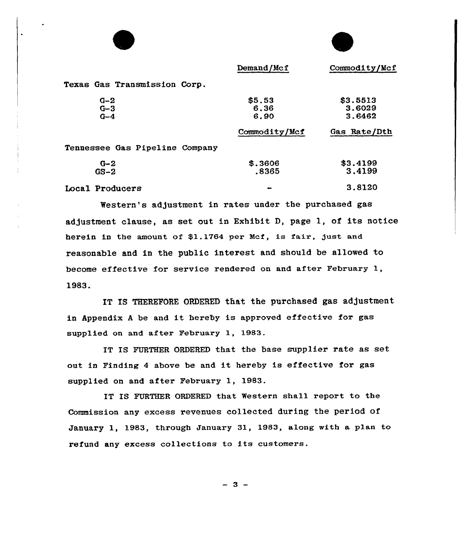|                                | Demand/Mcf    | Commodity/Mcf |
|--------------------------------|---------------|---------------|
| Texas Gas Transmission Corp.   |               |               |
| $G-2$                          | \$5.53        | \$3.5513      |
| $G - 3$                        | 6.36          | 3.6029        |
| $G-4$                          | 6.90          | 3.6462        |
|                                | Commodity/Mcf | Gas Rate/Dth  |
| Tennessee Gas Pipeline Company |               |               |
| $G-2$                          | \$.3606       | \$3.4199      |
| $GS-2$                         | .8365         | 3.4199        |
| Local Producers                |               | 3.8120        |
|                                |               |               |

Western's adJustment in rates under the purchased gas adjustment clause, as set out in Exhibit D, page 1, of its notice herein in the amount of \$1.1764 per Mcf, is fair, just and reasonable and in the public interest and should be allowed to become effective for service rendered on and after February 1, 1983.

IT IS THEREFORE ORDERED that the purchased gas adjustment in Appendix <sup>A</sup> be and it hereby is approved effective for gas supplied on and after February 1, 1983.

IT IS FURTHER ORDERED that the base supplier rate as set out in Finding <sup>4</sup> above be and it hereby is effective for gas supplied on and after February 1, 1983.

IT IS FURTHER ORDERED that Western shall report to the Commission any excess revenues collected during the period of January 1, 1983, through January 31, 1983, along with a plan to refund any excess collections to its customers.

 $-3-$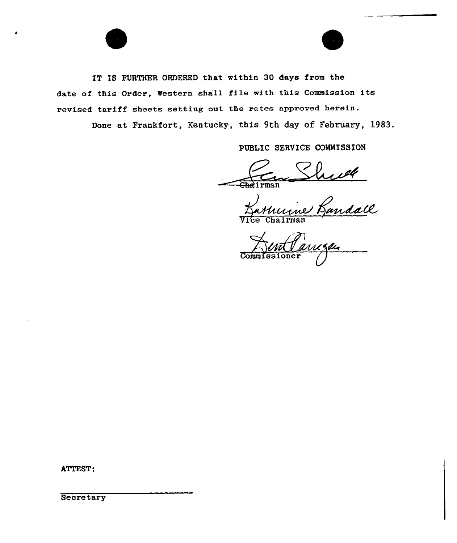

IT IS FURTHER ORDERED that within 30 days from the date of this Order, Western shall file with this Commission its revised tariff sheets setting out the rates approved herein.

Done at Frankfort, Kentucky, this 9th day of February, 1983.

PUBLIC SERVICE COMMISSION

Chairman Shreet

HentCarregan Commissioner

ATTEST:

Secretary